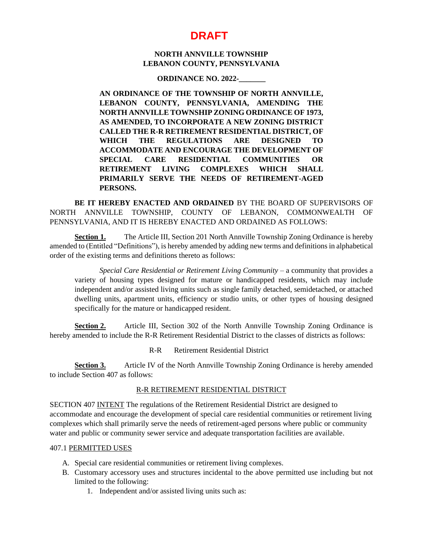# **DRAFT**

## **NORTH ANNVILLE TOWNSHIP LEBANON COUNTY, PENNSYLVANIA**

#### **ORDINANCE NO. 2022-\_\_\_\_\_\_\_**

**AN ORDINANCE OF THE TOWNSHIP OF NORTH ANNVILLE, LEBANON COUNTY, PENNSYLVANIA, AMENDING THE NORTH ANNVILLE TOWNSHIP ZONING ORDINANCE OF 1973, AS AMENDED, TO INCORPORATE A NEW ZONING DISTRICT CALLED THE R-R RETIREMENT RESIDENTIAL DISTRICT, OF WHICH THE REGULATIONS ARE DESIGNED TO ACCOMMODATE AND ENCOURAGE THE DEVELOPMENT OF SPECIAL CARE RESIDENTIAL COMMUNITIES OR RETIREMENT LIVING COMPLEXES WHICH SHALL PRIMARILY SERVE THE NEEDS OF RETIREMENT-AGED PERSONS.**

**BE IT HEREBY ENACTED AND ORDAINED** BY THE BOARD OF SUPERVISORS OF NORTH ANNVILLE TOWNSHIP, COUNTY OF LEBANON, COMMONWEALTH OF PENNSYLVANIA, AND IT IS HEREBY ENACTED AND ORDAINED AS FOLLOWS:

**Section 1.** The Article III, Section 201 North Annville Township Zoning Ordinance is hereby amended to (Entitled "Definitions"), is hereby amended by adding new terms and definitions in alphabetical order of the existing terms and definitions thereto as follows:

*Special Care Residential or Retirement Living Community* – a community that provides a variety of housing types designed for mature or handicapped residents, which may include independent and/or assisted living units such as single family detached, semidetached, or attached dwelling units, apartment units, efficiency or studio units, or other types of housing designed specifically for the mature or handicapped resident.

**Section 2.** Article III, Section 302 of the North Annville Township Zoning Ordinance is hereby amended to include the R-R Retirement Residential District to the classes of districts as follows:

R-R Retirement Residential District

**Section 3.** Article IV of the North Annville Township Zoning Ordinance is hereby amended to include Section 407 as follows:

## R-R RETIREMENT RESIDENTIAL DISTRICT

SECTION 407 INTENT The regulations of the Retirement Residential District are designed to accommodate and encourage the development of special care residential communities or retirement living complexes which shall primarily serve the needs of retirement-aged persons where public or community water and public or community sewer service and adequate transportation facilities are available.

#### 407.1 PERMITTED USES

- A. Special care residential communities or retirement living complexes.
- B. Customary accessory uses and structures incidental to the above permitted use including but not limited to the following:
	- 1. Independent and/or assisted living units such as: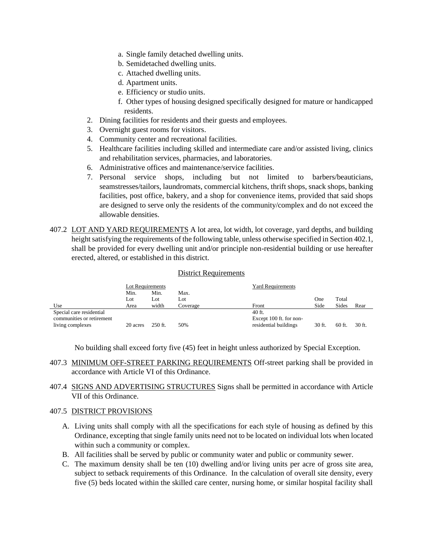- a. Single family detached dwelling units.
- b. Semidetached dwelling units.
- c. Attached dwelling units.
- d. Apartment units.
- e. Efficiency or studio units.
- f. Other types of housing designed specifically designed for mature or handicapped residents.
- 2. Dining facilities for residents and their guests and employees.
- 3. Overnight guest rooms for visitors.
- 4. Community center and recreational facilities.
- 5. Healthcare facilities including skilled and intermediate care and/or assisted living, clinics and rehabilitation services, pharmacies, and laboratories.
- 6. Administrative offices and maintenance/service facilities.
- 7. Personal service shops, including but not limited to barbers/beauticians, seamstresses/tailors, laundromats, commercial kitchens, thrift shops, snack shops, banking facilities, post office, bakery, and a shop for convenience items, provided that said shops are designed to serve only the residents of the community/complex and do not exceed the allowable densities.
- 407.2 LOT AND YARD REQUIREMENTS A lot area, lot width, lot coverage, yard depths, and building height satisfying the requirements of the following table, unless otherwise specified in Section 402.1, shall be provided for every dwelling unit and/or principle non-residential building or use hereafter erected, altered, or established in this district.

#### District Requirements

|                           | Lot Requirements |           |          | <b>Yard Requirements</b> |        |          |        |
|---------------------------|------------------|-----------|----------|--------------------------|--------|----------|--------|
|                           | Min.             | Min.      | Max.     |                          |        |          |        |
|                           | Lot              | Lot       | Lot      |                          | One    | Total    |        |
| Use                       | Area             | width     | Coverage | Front                    | Side   | Sides    | Rear   |
| Special care residential  |                  |           |          | $40$ ft.                 |        |          |        |
| communities or retirement |                  |           |          | Except 100 ft. for non-  |        |          |        |
| living complexes          | 20 acres         | $250$ ft. | 50%      | residential buildings    | 30 ft. | $60$ ft. | 30 ft. |

No building shall exceed forty five (45) feet in height unless authorized by Special Exception.

- 407.3 MINIMUM OFF-STREET PARKING REQUIREMENTS Off-street parking shall be provided in accordance with Article VI of this Ordinance.
- 407.4 SIGNS AND ADVERTISING STRUCTURES Signs shall be permitted in accordance with Article VII of this Ordinance.

## 407.5 DISTRICT PROVISIONS

- A. Living units shall comply with all the specifications for each style of housing as defined by this Ordinance, excepting that single family units need not to be located on individual lots when located within such a community or complex.
- B. All facilities shall be served by public or community water and public or community sewer.
- C. The maximum density shall be ten (10) dwelling and/or living units per acre of gross site area, subject to setback requirements of this Ordinance. In the calculation of overall site density, every five (5) beds located within the skilled care center, nursing home, or similar hospital facility shall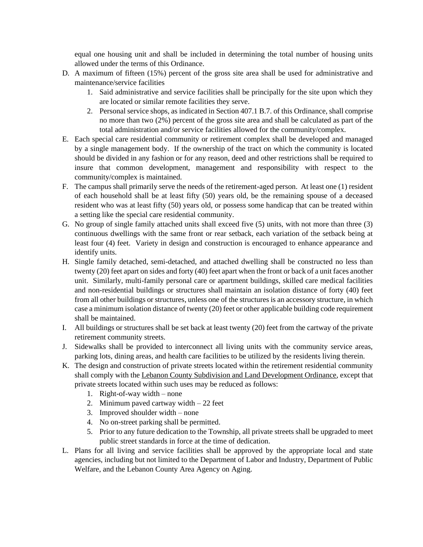equal one housing unit and shall be included in determining the total number of housing units allowed under the terms of this Ordinance.

- D. A maximum of fifteen (15%) percent of the gross site area shall be used for administrative and maintenance/service facilities
	- 1. Said administrative and service facilities shall be principally for the site upon which they are located or similar remote facilities they serve.
	- 2. Personal service shops, as indicated in Section 407.1 B.7. of this Ordinance, shall comprise no more than two (2%) percent of the gross site area and shall be calculated as part of the total administration and/or service facilities allowed for the community/complex.
- E. Each special care residential community or retirement complex shall be developed and managed by a single management body. If the ownership of the tract on which the community is located should be divided in any fashion or for any reason, deed and other restrictions shall be required to insure that common development, management and responsibility with respect to the community/complex is maintained.
- F. The campus shall primarily serve the needs of the retirement-aged person. At least one (1) resident of each household shall be at least fifty (50) years old, be the remaining spouse of a deceased resident who was at least fifty (50) years old, or possess some handicap that can be treated within a setting like the special care residential community.
- G. No group of single family attached units shall exceed five (5) units, with not more than three (3) continuous dwellings with the same front or rear setback, each variation of the setback being at least four (4) feet. Variety in design and construction is encouraged to enhance appearance and identify units.
- H. Single family detached, semi-detached, and attached dwelling shall be constructed no less than twenty (20) feet apart on sides and forty (40) feet apart when the front or back of a unit faces another unit. Similarly, multi-family personal care or apartment buildings, skilled care medical facilities and non-residential buildings or structures shall maintain an isolation distance of forty (40) feet from all other buildings or structures, unless one of the structures is an accessory structure, in which case a minimum isolation distance of twenty (20) feet or other applicable building code requirement shall be maintained.
- I. All buildings or structures shall be set back at least twenty (20) feet from the cartway of the private retirement community streets.
- J. Sidewalks shall be provided to interconnect all living units with the community service areas, parking lots, dining areas, and health care facilities to be utilized by the residents living therein.
- K. The design and construction of private streets located within the retirement residential community shall comply with the Lebanon County Subdivision and Land Development Ordinance, except that private streets located within such uses may be reduced as follows:
	- 1. Right-of-way width none
	- 2. Minimum paved cartway width 22 feet
	- 3. Improved shoulder width none
	- 4. No on-street parking shall be permitted.
	- 5. Prior to any future dedication to the Township, all private streets shall be upgraded to meet public street standards in force at the time of dedication.
- L. Plans for all living and service facilities shall be approved by the appropriate local and state agencies, including but not limited to the Department of Labor and Industry, Department of Public Welfare, and the Lebanon County Area Agency on Aging.